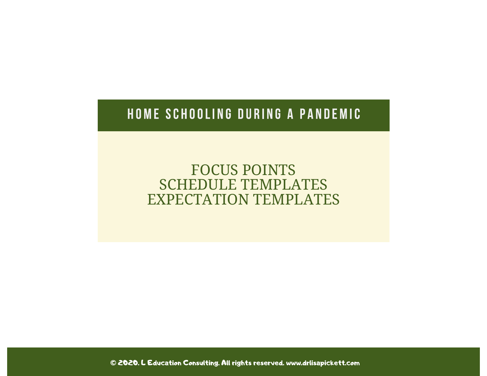### HOME SCHOOLING DURING A PANDEMIC

FOCUS POINTS SCHEDULE TEMPLATES EXPECTATION TEMPLATES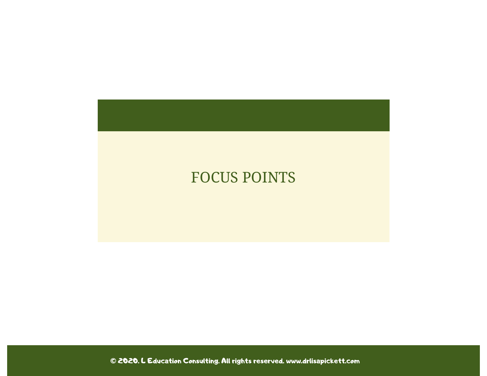## FOCUS POINTS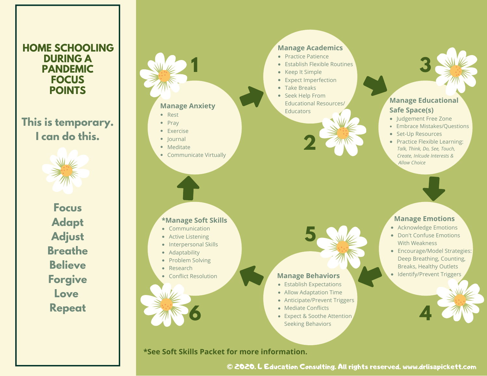#### **HOME SCHOOLING DURING A PANDEMIC FOCUS POINTS**

#### **This is temporary. I can do this.**



**Focus Adapt Adjust Breathe Believe Forgive Love Repeat**

#### **Manage Anxiety**

**1**

- Rest  $\bullet$  Pray
- Exercise
- lournal
- 
- Meditate
- Communicate Virtually

#### **\*Manage Soft Skills**

- Communication
- **•** Active Listening
- Interpersonal Skills
- Adaptability
- Problem Solving
- Research
- Conflict Resolution

**6**

#### **•** Establish Flexible Routines • Keep It Simple

• Expect Imperfection

• Practice Patience

**Manage Academics**

- Take Breaks
- Seek Help From Educational Resources/ **Educators**



#### **Manage Educational Safe Space(s)**

**3**

- Judgement Free Zone
- Embrace Mistakes/Questions
- Set-Up Resources
- Practice Flexible Learning: *Talk, Think, Do, See, Touch, Create, Inlcude Interests & Allow Choice*

#### **Manage Emotions**

- Acknowledge Emotions
- Don't Confuse Emotions With Weakness
- Encourage/Model Strategies: • Identify/Prevent Triggers Deep Breathing, Counting, Breaks, Healthy Outlets

**4**

#### **Manage Behaviors**

• Establish Expectations

**5**

- Allow Adaptation Time
- Anticipate/Prevent Triggers
- Mediate Conflicts
- Expect & Soothe Attention Seeking Behaviors

#### **\*See Soft Skills Packet for more information.**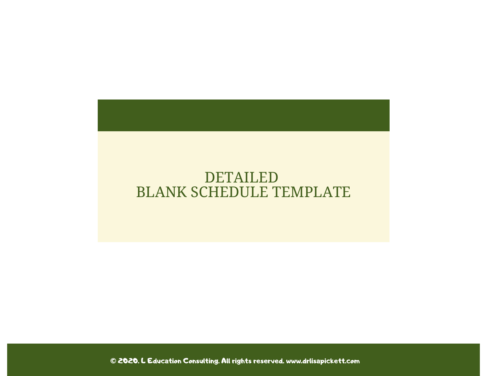### DETAILED BLANK SCHEDULE TEMPLATE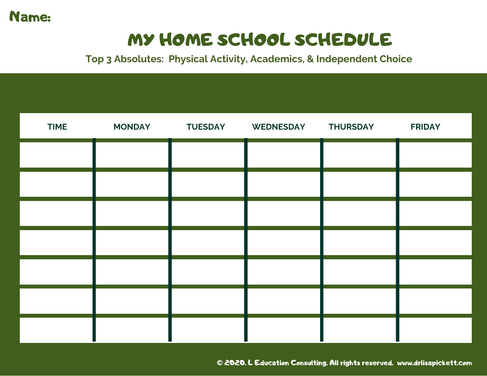

# MY HOME SCHOOL SCHEDULE

**Top 3 Absolutes: Physical Activity, Academics, & Independent Choice**

| <b>TIME</b> | <b>MONDAY</b> | <b>TUESDAY</b> | WEDNESDAY THURSDAY | <b>FRIDAY</b> |
|-------------|---------------|----------------|--------------------|---------------|
|             |               |                |                    |               |
|             |               |                |                    |               |
|             |               |                |                    |               |
|             |               |                |                    |               |
|             |               |                |                    |               |
|             |               |                |                    |               |
|             |               |                |                    |               |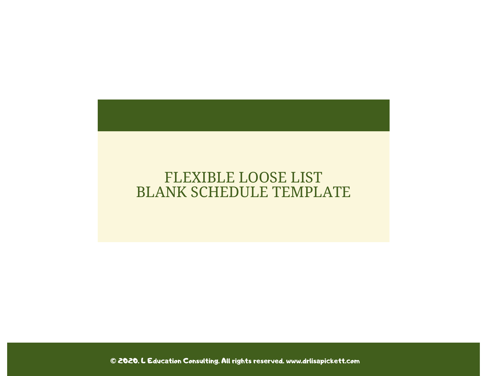### FLEXIBLE LOOSE LIST BLANK SCHEDULE TEMPLATE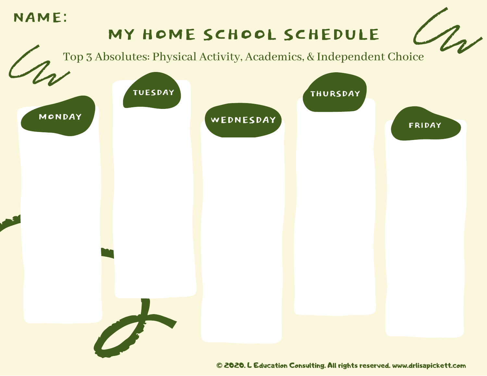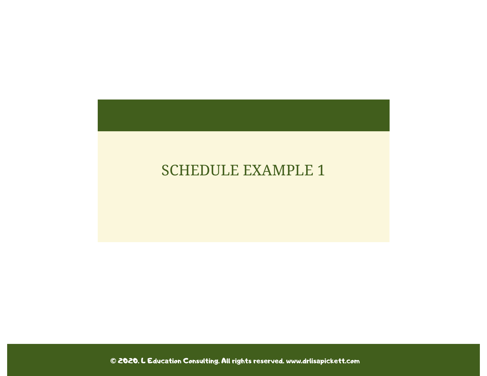### SCHEDULE EXAMPLE 1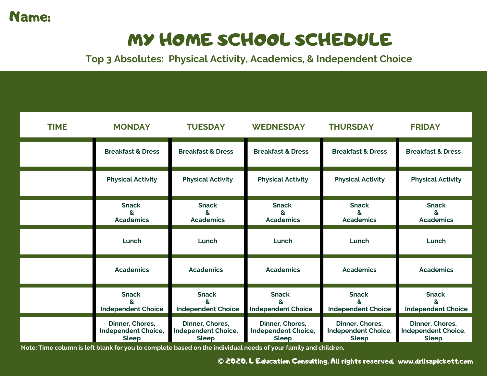### Name:

# MY HOME SCHOOL SCHEDULE

**Top 3 Absolutes: Physical Activity, Academics, & Independent Choice**

| <b>TIME</b> | <b>MONDAY</b>                                                 | <b>TUESDAY</b>                                                | <b>WEDNESDAY</b>                                              | <b>THURSDAY</b>                                               | <b>FRIDAY</b>                                                 |
|-------------|---------------------------------------------------------------|---------------------------------------------------------------|---------------------------------------------------------------|---------------------------------------------------------------|---------------------------------------------------------------|
|             | <b>Breakfast &amp; Dress</b>                                  | <b>Breakfast &amp; Dress</b>                                  | <b>Breakfast &amp; Dress</b>                                  | <b>Breakfast &amp; Dress</b>                                  | <b>Breakfast &amp; Dress</b>                                  |
|             | <b>Physical Activity</b>                                      | <b>Physical Activity</b>                                      | <b>Physical Activity</b>                                      | <b>Physical Activity</b>                                      | <b>Physical Activity</b>                                      |
|             | <b>Snack</b><br>&<br><b>Academics</b>                         | <b>Snack</b><br>&<br><b>Academics</b>                         | <b>Snack</b><br>&<br><b>Academics</b>                         | <b>Snack</b><br>&<br><b>Academics</b>                         | <b>Snack</b><br>&<br><b>Academics</b>                         |
|             | Lunch                                                         | Lunch                                                         | Lunch                                                         | Lunch                                                         | Lunch                                                         |
|             | <b>Academics</b>                                              | <b>Academics</b>                                              | <b>Academics</b>                                              | <b>Academics</b>                                              | <b>Academics</b>                                              |
|             | <b>Snack</b><br>R,<br><b>Independent Choice</b>               | <b>Snack</b><br><b>Independent Choice</b>                     | <b>Snack</b><br>ጼ.<br><b>Independent Choice</b>               | <b>Snack</b><br><b>Independent Choice</b>                     | <b>Snack</b><br>ጼ<br><b>Independent Choice</b>                |
|             | Dinner, Chores,<br><b>Independent Choice,</b><br><b>Sleep</b> | Dinner, Chores,<br><b>Independent Choice,</b><br><b>Sleep</b> | Dinner, Chores,<br><b>Independent Choice,</b><br><b>Sleep</b> | Dinner, Chores,<br><b>Independent Choice,</b><br><b>Sleep</b> | Dinner, Chores,<br><b>Independent Choice,</b><br><b>Sleep</b> |

Note: Time column is left blank for you to complete based on the individual needs of your family and children.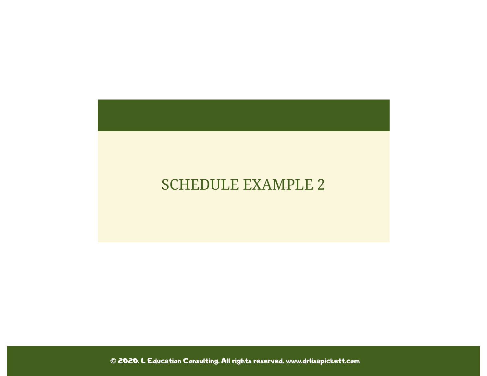### SCHEDULE EXAMPLE 2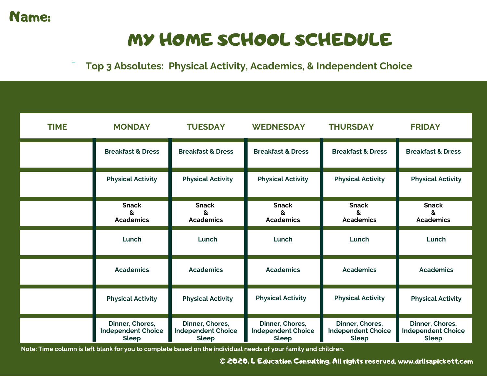

# MY HOME SCHOOL SCHEDULE

#### **Top 3 Absolutes: Physical Activity, Academics, & Independent Choice**

| <b>TIME</b> | <b>MONDAY</b>                                                | <b>TUESDAY</b>                                               | <b>WEDNESDAY</b>                                             | <b>THURSDAY</b>                                              | <b>FRIDAY</b>                                                |
|-------------|--------------------------------------------------------------|--------------------------------------------------------------|--------------------------------------------------------------|--------------------------------------------------------------|--------------------------------------------------------------|
|             | <b>Breakfast &amp; Dress</b>                                 | <b>Breakfast &amp; Dress</b>                                 | <b>Breakfast &amp; Dress</b>                                 | <b>Breakfast &amp; Dress</b>                                 | <b>Breakfast &amp; Dress</b>                                 |
|             | <b>Physical Activity</b>                                     | <b>Physical Activity</b>                                     | <b>Physical Activity</b>                                     | <b>Physical Activity</b>                                     | <b>Physical Activity</b>                                     |
|             | <b>Snack</b><br>&<br><b>Academics</b>                        | <b>Snack</b><br>&<br><b>Academics</b>                        | <b>Snack</b><br>&<br><b>Academics</b>                        | <b>Snack</b><br>ጼ<br><b>Academics</b>                        | <b>Snack</b><br>8<br><b>Academics</b>                        |
|             | Lunch                                                        | Lunch                                                        | Lunch                                                        | Lunch                                                        | Lunch                                                        |
|             | <b>Academics</b>                                             | <b>Academics</b>                                             | <b>Academics</b>                                             | <b>Academics</b>                                             | <b>Academics</b>                                             |
|             | <b>Physical Activity</b>                                     | <b>Physical Activity</b>                                     | <b>Physical Activity</b>                                     | <b>Physical Activity</b>                                     | <b>Physical Activity</b>                                     |
|             | Dinner, Chores,<br><b>Independent Choice</b><br><b>Sleep</b> | Dinner, Chores,<br><b>Independent Choice</b><br><b>Sleep</b> | Dinner, Chores,<br><b>Independent Choice</b><br><b>Sleep</b> | Dinner, Chores,<br><b>Independent Choice</b><br><b>Sleep</b> | Dinner, Chores,<br><b>Independent Choice</b><br><b>Sleep</b> |

Note: Time column is left blank for you to complete based on the individual needs of your family and children.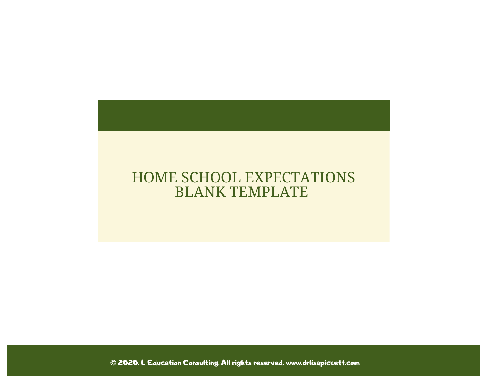### HOME SCHOOL EXPECTATIONS BLANK TEMPLATE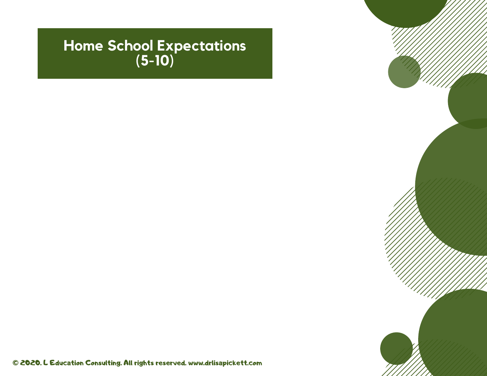### **Home School Expectations (5-10)**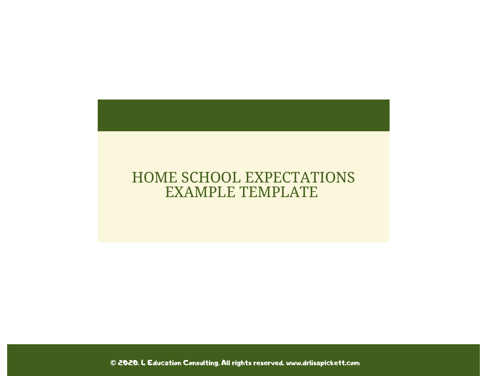### HOME SCHOOL EXPECTATIONS EXAMPLE TEMPLATE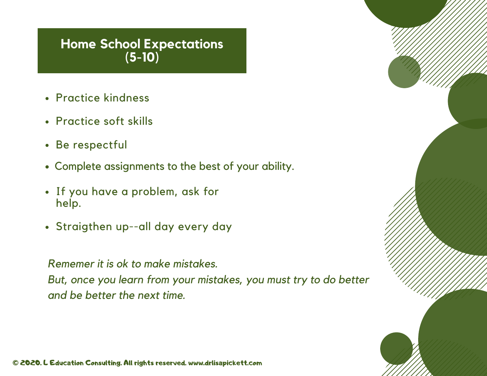#### **Home School Expectations (5-10)**

- Practice kindness
- Practice soft skills
- Be respectful
- Complete assignments to the best of your ability.
- If you have <sup>a</sup> problem, ask for help.
- Straigthen up--all day every day

*Rememer it is ok to make mistakes.*

*But, once you learn from your mistakes, you must try to do better and be better the next time.*